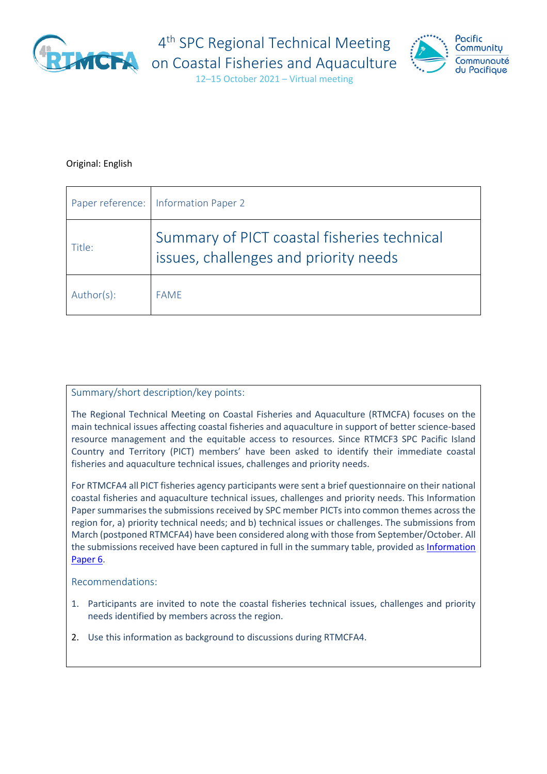

4<sup>th</sup> SPC Regional Technical Meeting



12–15 October 2021 – Virtual meeting

### Original: English

|            | Paper reference:   Information Paper 2                                               |
|------------|--------------------------------------------------------------------------------------|
| Title:     | Summary of PICT coastal fisheries technical<br>issues, challenges and priority needs |
| Author(s): | <b>FAME</b>                                                                          |

#### Summary/short description/key points:

The Regional Technical Meeting on Coastal Fisheries and Aquaculture (RTMCFA) focuses on the main technical issues affecting coastal fisheries and aquaculture in support of better science-based resource management and the equitable access to resources. Since RTMCF3 SPC Pacific Island Country and Territory (PICT) members' have been asked to identify their immediate coastal fisheries and aquaculture technical issues, challenges and priority needs.

For RTMCFA4 all PICT fisheries agency participants were sent a brief questionnaire on their national coastal fisheries and aquaculture technical issues, challenges and priority needs. This Information Paper summarises the submissions received by SPC member PICTs into common themes across the region for, a) priority technical needs; and b) technical issues or challenges. The submissions from March (postponed RTMCFA4) have been considered along with those from September/October. All the submissions received have been captured in full in the summary table, provided as *Information* [Paper 6.](https://www.spc.int/DigitalLibrary/Doc/FAME/Meetings/RTMCF/4/RTMCFA4_IP06_EN.pdf)

#### Recommendations:

- 1. Participants are invited to note the coastal fisheries technical issues, challenges and priority needs identified by members across the region.
- 2. Use this information as background to discussions during RTMCFA4.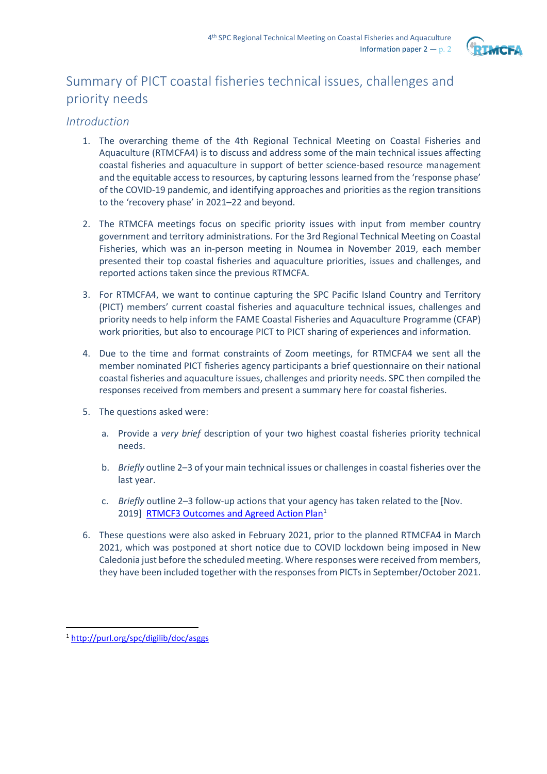

# Summary of PICT coastal fisheries technical issues, challenges and priority needs

## *Introduction*

- 1. The overarching theme of the 4th Regional Technical Meeting on Coastal Fisheries and Aquaculture (RTMCFA4) is to discuss and address some of the main technical issues affecting coastal fisheries and aquaculture in support of better science-based resource management and the equitable access to resources, by capturing lessons learned from the 'response phase' of the COVID-19 pandemic, and identifying approaches and priorities as the region transitions to the 'recovery phase' in 2021–22 and beyond.
- 2. The RTMCFA meetings focus on specific priority issues with input from member country government and territory administrations. For the 3rd Regional Technical Meeting on Coastal Fisheries, which was an in-person meeting in Noumea in November 2019, each member presented their top coastal fisheries and aquaculture priorities, issues and challenges, and reported actions taken since the previous RTMCFA.
- 3. For RTMCFA4, we want to continue capturing the SPC Pacific Island Country and Territory (PICT) members' current coastal fisheries and aquaculture technical issues, challenges and priority needs to help inform the FAME Coastal Fisheries and Aquaculture Programme (CFAP) work priorities, but also to encourage PICT to PICT sharing of experiences and information.
- 4. Due to the time and format constraints of Zoom meetings, for RTMCFA4 we sent all the member nominated PICT fisheries agency participants a brief questionnaire on their national coastal fisheries and aquaculture issues, challenges and priority needs. SPC then compiled the responses received from members and present a summary here for coastal fisheries.
- 5. The questions asked were:
	- a. Provide a *very brief* description of your two highest coastal fisheries priority technical needs.
	- b. *Briefly* outline 2–3 of your main technical issues or challenges in coastal fisheries over the last year.
	- c. *Briefly* outline 2–3 follow-up actions that your agency has taken related to the [Nov. 2019] [RTMCF3 Outcomes and Agreed Action Plan](http://purl.org/spc/digilib/doc/asggs)<sup>[1](#page-1-0)</sup>
- 6. These questions were also asked in February 2021, prior to the planned RTMCFA4 in March 2021, which was postponed at short notice due to COVID lockdown being imposed in New Caledonia just before the scheduled meeting. Where responses were received from members, they have been included together with the responses from PICTs in September/October 2021.

<span id="page-1-0"></span><sup>1</sup> <http://purl.org/spc/digilib/doc/asggs>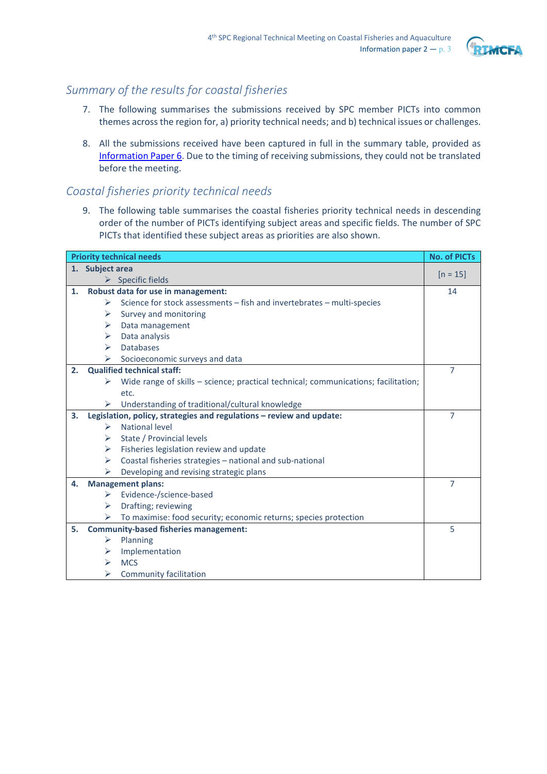

# *Summary of the results for coastal fisheries*

- 7. The following summarises the submissions received by SPC member PICTs into common themes across the region for, a) priority technical needs; and b) technical issues or challenges.
- 8. All the submissions received have been captured in full in the summary table, provided as [Information Paper 6.](https://www.spc.int/DigitalLibrary/Doc/FAME/Meetings/RTMCF/4/RTMCFA4_IP06_EN.pdf) Due to the timing of receiving submissions, they could not be translated before the meeting.

## *Coastal fisheries priority technical needs*

9. The following table summarises the coastal fisheries priority technical needs in descending order of the number of PICTs identifying subject areas and specific fields. The number of SPC PICTs that identified these subject areas as priorities are also shown.

| <b>Priority technical needs</b> |                       | <b>No. of PICTs</b>                                                                |                |
|---------------------------------|-----------------------|------------------------------------------------------------------------------------|----------------|
|                                 | 1. Subject area       |                                                                                    |                |
|                                 |                       | $\triangleright$ Specific fields                                                   | $[n = 15]$     |
| 1.                              |                       | Robust data for use in management:                                                 | 14             |
|                                 | ⋗                     | Science for stock assessments - fish and invertebrates - multi-species             |                |
|                                 | ➤                     | Survey and monitoring                                                              |                |
|                                 | ➤                     | Data management                                                                    |                |
|                                 | ➤                     | Data analysis                                                                      |                |
|                                 | $\blacktriangleright$ | <b>Databases</b>                                                                   |                |
|                                 | ➤                     | Socioeconomic surveys and data                                                     |                |
| 2.                              |                       | <b>Qualified technical staff:</b>                                                  | 7              |
|                                 | ⋗                     | Wide range of skills - science; practical technical; communications; facilitation; |                |
|                                 |                       | etc.                                                                               |                |
|                                 | ➤                     | Understanding of traditional/cultural knowledge                                    |                |
| 3.                              |                       | Legislation, policy, strategies and regulations - review and update:               | $\overline{7}$ |
|                                 | ➤                     | National level                                                                     |                |
|                                 | ⋗                     | State / Provincial levels                                                          |                |
|                                 | ➤                     | Fisheries legislation review and update                                            |                |
|                                 | ➤                     | Coastal fisheries strategies - national and sub-national                           |                |
|                                 | ➤                     | Developing and revising strategic plans                                            |                |
| 4.                              |                       | <b>Management plans:</b>                                                           |                |
|                                 | ➤                     | Evidence-/science-based                                                            |                |
|                                 | ➤                     | Drafting; reviewing                                                                |                |
|                                 | ➤                     | To maximise: food security; economic returns; species protection                   |                |
| 5.                              |                       | <b>Community-based fisheries management:</b>                                       | 5              |
|                                 | ➤                     | Planning                                                                           |                |
|                                 | ⋗                     | Implementation                                                                     |                |
|                                 | ⋗                     | <b>MCS</b>                                                                         |                |
|                                 | ⋗                     | Community facilitation                                                             |                |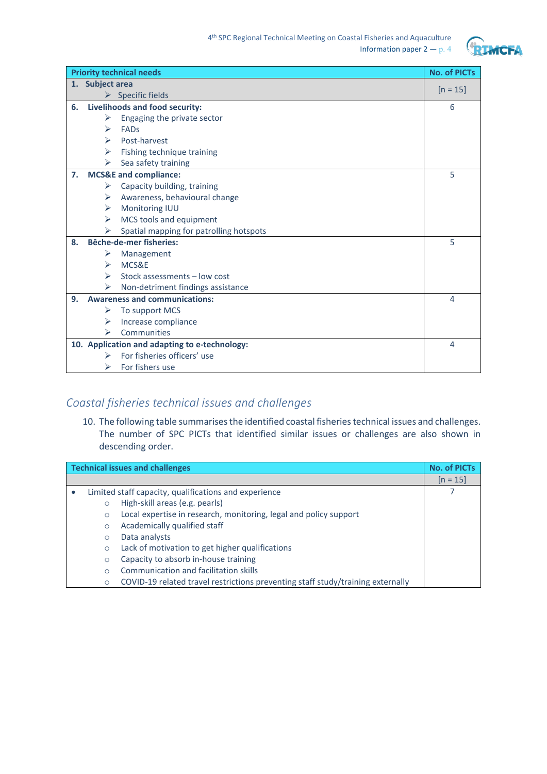

| <b>Priority technical needs</b> |                                      | <b>No. of PICTs</b>                           |                |
|---------------------------------|--------------------------------------|-----------------------------------------------|----------------|
|                                 |                                      | 1. Subject area                               |                |
|                                 |                                      | $\triangleright$ Specific fields              | $[n = 15]$     |
| 6.                              |                                      | Livelihoods and food security:                |                |
|                                 | ⋗                                    | Engaging the private sector                   |                |
|                                 | $\blacktriangleright$                | <b>FADs</b>                                   |                |
|                                 | ➤                                    | Post-harvest                                  |                |
|                                 | ➤                                    | Fishing technique training                    |                |
|                                 | ➤                                    | Sea safety training                           |                |
| 7.                              |                                      | <b>MCS&amp;E</b> and compliance:              | 5              |
|                                 | ➤                                    | Capacity building, training                   |                |
|                                 | ➤                                    | Awareness, behavioural change                 |                |
|                                 | ⋗                                    | Monitoring IUU                                |                |
|                                 | ➤                                    | MCS tools and equipment                       |                |
|                                 |                                      | Spatial mapping for patrolling hotspots       |                |
| 8.                              |                                      | <b>Bêche-de-mer fisheries:</b>                | 5              |
|                                 | ➤                                    | Management                                    |                |
|                                 | ➤                                    | MCS&E                                         |                |
|                                 | ➤                                    | Stock assessments - low cost                  |                |
|                                 | ⋗                                    | Non-detriment findings assistance             |                |
| 9.                              | <b>Awareness and communications:</b> |                                               | $\overline{4}$ |
|                                 | ➤                                    | To support MCS                                |                |
|                                 | ➤                                    | Increase compliance                           |                |
|                                 | ⋗                                    | Communities                                   |                |
|                                 |                                      | 10. Application and adapting to e-technology: | $\overline{4}$ |
|                                 | ➤                                    | For fisheries officers' use                   |                |
|                                 | ⋗                                    | For fishers use                               |                |

# *Coastal fisheries technical issues and challenges*

10. The following table summarises the identified coastal fisheries technical issues and challenges. The number of SPC PICTs that identified similar issues or challenges are also shown in descending order.

| <b>Technical issues and challenges</b> |                                                       | <b>No. of PICTs</b>                                                             |            |
|----------------------------------------|-------------------------------------------------------|---------------------------------------------------------------------------------|------------|
|                                        |                                                       |                                                                                 | $[n = 15]$ |
| $\bullet$                              | Limited staff capacity, qualifications and experience |                                                                                 |            |
|                                        | $\circ$                                               | High-skill areas (e.g. pearls)                                                  |            |
|                                        | $\circ$                                               | Local expertise in research, monitoring, legal and policy support               |            |
|                                        | $\circ$                                               | Academically qualified staff                                                    |            |
|                                        | $\circ$                                               | Data analysts                                                                   |            |
|                                        | $\circ$                                               | Lack of motivation to get higher qualifications                                 |            |
|                                        | $\circ$                                               | Capacity to absorb in-house training                                            |            |
|                                        | Ω                                                     | Communication and facilitation skills                                           |            |
|                                        | $\circ$                                               | COVID-19 related travel restrictions preventing staff study/training externally |            |